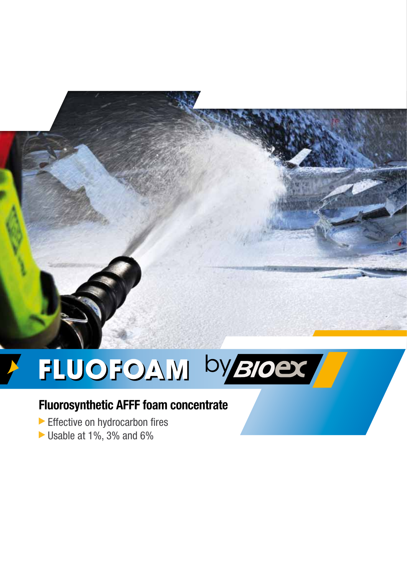

# FLUOFOAM by BIOST

## **Fluorosynthetic AFFF foam concentrate**

- Effective on hydrocarbon fires
- Usable at 1%, 3% and 6%